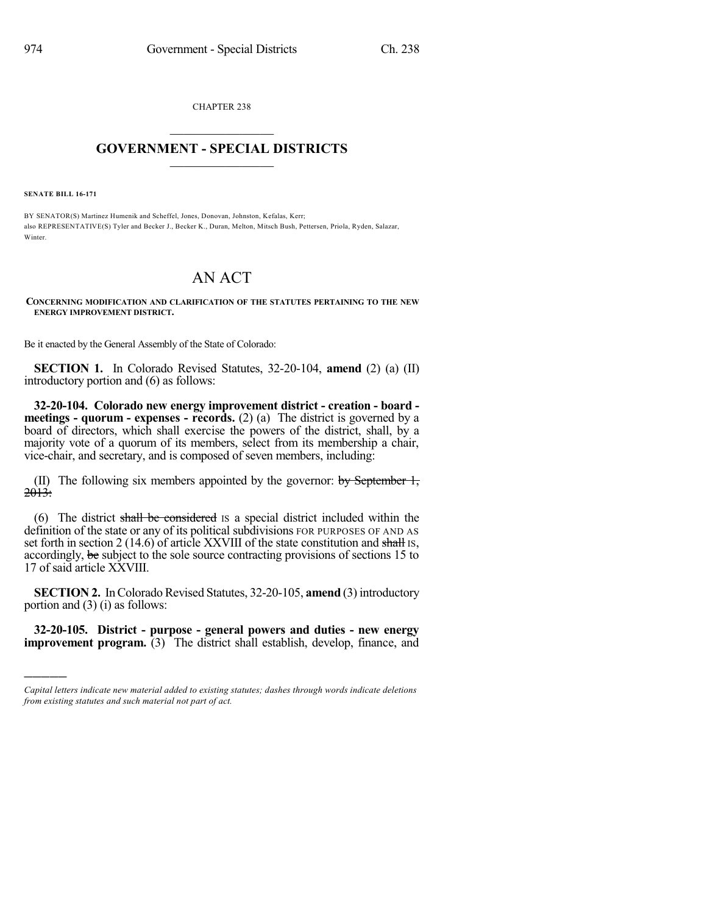CHAPTER 238  $\overline{\phantom{a}}$  . The set of the set of the set of the set of the set of the set of the set of the set of the set of the set of the set of the set of the set of the set of the set of the set of the set of the set of the set o

## **GOVERNMENT - SPECIAL DISTRICTS**  $\_$   $\_$

**SENATE BILL 16-171**

)))))

BY SENATOR(S) Martinez Humenik and Scheffel, Jones, Donovan, Johnston, Kefalas, Kerr; also REPRESENTATIVE(S) Tyler and Becker J., Becker K., Duran, Melton, Mitsch Bush, Pettersen, Priola, Ryden, Salazar, Winter

## AN ACT

**CONCERNING MODIFICATION AND CLARIFICATION OF THE STATUTES PERTAINING TO THE NEW ENERGY IMPROVEMENT DISTRICT.**

Be it enacted by the General Assembly of the State of Colorado:

**SECTION 1.** In Colorado Revised Statutes, 32-20-104, **amend** (2) (a) (II) introductory portion and (6) as follows:

**32-20-104. Colorado new energy improvement district - creation - board meetings - quorum - expenses - records.** (2) (a) The district is governed by a board of directors, which shall exercise the powers of the district, shall, by a majority vote of a quorum of its members, select from its membership a chair, vice-chair, and secretary, and is composed of seven members, including:

(II) The following six members appointed by the governor: by September 1,  $2013:$ 

(6) The district shall be considered IS a special district included within the definition of the state or any of its political subdivisions FOR PURPOSES OF AND AS set forth in section 2 (14.6) of article XXVIII of the state constitution and shall is, accordingly, be subject to the sole source contracting provisions of sections 15 to 17 of said article XXVIII.

**SECTION 2.** In Colorado Revised Statutes, 32-20-105, **amend** (3) introductory portion and (3) (i) as follows:

**32-20-105. District - purpose - general powers and duties - new energy improvement program.** (3) The district shall establish, develop, finance, and

*Capital letters indicate new material added to existing statutes; dashes through words indicate deletions from existing statutes and such material not part of act.*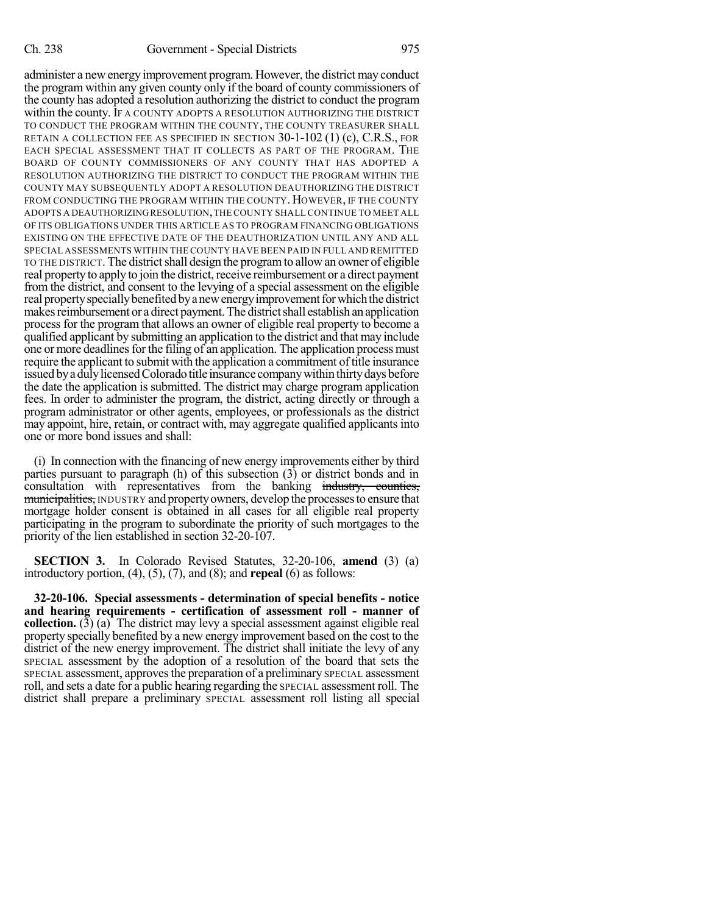administer a new energy improvement program. However, the district may conduct the program within any given county only if the board of county commissioners of the county has adopted a resolution authorizing the district to conduct the program within the county. IF A COUNTY ADOPTS A RESOLUTION AUTHORIZING THE DISTRICT TO CONDUCT THE PROGRAM WITHIN THE COUNTY, THE COUNTY TREASURER SHALL RETAIN A COLLECTION FEE AS SPECIFIED IN SECTION  $30-1-102$  (1) (c), C.R.S., FOR EACH SPECIAL ASSESSMENT THAT IT COLLECTS AS PART OF THE PROGRAM. THE BOARD OF COUNTY COMMISSIONERS OF ANY COUNTY THAT HAS ADOPTED A RESOLUTION AUTHORIZING THE DISTRICT TO CONDUCT THE PROGRAM WITHIN THE COUNTY MAY SUBSEQUENTLY ADOPT A RESOLUTION DEAUTHORIZING THE DISTRICT FROM CONDUCTING THE PROGRAM WITHIN THE COUNTY. HOWEVER, IF THE COUNTY ADOPTS A DEAUTHORIZINGRESOLUTION,THE COUNTY SHALL CONTINUE TO MEET ALL OF ITS OBLIGATIONS UNDER THIS ARTICLE AS TO PROGRAM FINANCING OBLIGATIONS EXISTING ON THE EFFECTIVE DATE OF THE DEAUTHORIZATION UNTIL ANY AND ALL SPECIAL ASSESSMENTS WITHIN THE COUNTY HAVE BEEN PAID IN FULL AND REMITTED TO THE DISTRICT. The districtshall design the programto allowan owner of eligible real property to apply to join the district, receive reimbursement or a direct payment from the district, and consent to the levying of a special assessment on the eligible real property specially benefited by a new energy improvement for which the district makes reimbursement or a direct payment. The district shall establish an application process for the program that allows an owner of eligible real property to become a qualified applicant by submitting an application to the district and that may include one or more deadlines for the filing of an application. The application process must require the applicant to submit with the application a commitment of title insurance issued by a duly licensed Colorado title insurance company within thirty days before the date the application is submitted. The district may charge program application fees. In order to administer the program, the district, acting directly or through a program administrator or other agents, employees, or professionals as the district may appoint, hire, retain, or contract with, may aggregate qualified applicants into one or more bond issues and shall:

(i) In connection with the financing of new energy improvements either by third parties pursuant to paragraph (h) of this subsection (3) or district bonds and in consultation with representatives from the banking industry, counties, municipalities, INDUSTRY and property owners, develop the processes to ensure that mortgage holder consent is obtained in all cases for all eligible real property participating in the program to subordinate the priority of such mortgages to the priority of the lien established in section 32-20-107.

**SECTION 3.** In Colorado Revised Statutes, 32-20-106, **amend** (3) (a) introductory portion, (4), (5), (7), and (8); and **repeal** (6) as follows:

**32-20-106. Special assessments - determination of special benefits - notice and hearing requirements - certification of assessment roll - manner of collection.** (3) (a) The district may levy a special assessment against eligible real property specially benefited by a new energy improvement based on the cost to the district of the new energy improvement. The district shall initiate the levy of any SPECIAL assessment by the adoption of a resolution of the board that sets the SPECIAL assessment, approves the preparation of a preliminary SPECIAL assessment roll, and sets a date for a public hearing regarding the SPECIAL assessment roll. The district shall prepare a preliminary SPECIAL assessment roll listing all special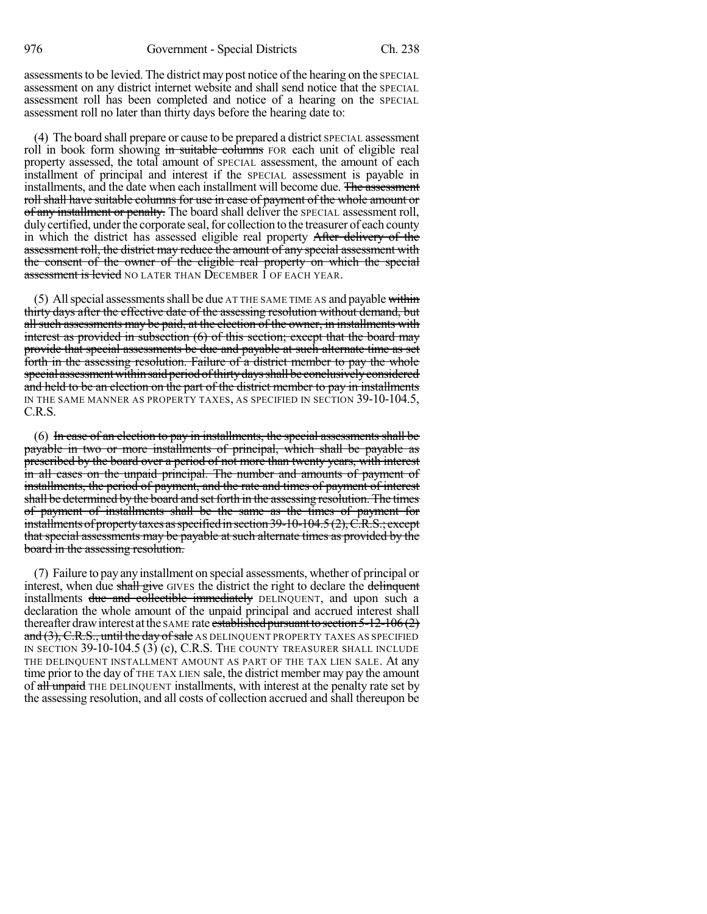assessments to be levied. The district may post notice of the hearing on the SPECIAL assessment on any district internet website and shall send notice that the SPECIAL assessment roll has been completed and notice of a hearing on the SPECIAL assessment roll no later than thirty days before the hearing date to:

(4) The board shall prepare or cause to be prepared a district SPECIAL assessment roll in book form showing in suitable columns FOR each unit of eligible real property assessed, the total amount of SPECIAL assessment, the amount of each installment of principal and interest if the SPECIAL assessment is payable in installments, and the date when each installment will become due. The assessment roll shall have suitable columns for use in case of payment of the whole amount or of any installment or penalty. The board shall deliver the SPECIAL assessment roll, duly certified, under the corporate seal, for collection to the treasurer of each county in which the district has assessed eligible real property After delivery of the assessment roll, the district may reduce the amount of any special assessment with the consent of the owner of the eligible real property on which the special assessment is levied NO LATER THAN DECEMBER 1 OF EACH YEAR.

 $(5)$  All special assessments shall be due AT THE SAME TIME AS and payable within thirty days after the effective date of the assessing resolution without demand, but all such assessments may be paid, at the election of the owner, in installments with interest as provided in subsection (6) of this section; except that the board may provide that special assessments be due and payable at such alternate time as set forth in the assessing resolution. Failure of a district member to pay the whole special assessment within said period of thirty days shall be conclusively considered and held to be an election on the part of the district member to pay in installments IN THE SAME MANNER AS PROPERTY TAXES, AS SPECIFIED IN SECTION 39-10-104.5, C.R.S.

(6) In case of an election to pay in installments, the special assessments shall be payable in two or more installments of principal, which shall be payable as prescribed by the board over a period of not more than twenty years, with interest in all cases on the unpaid principal. The number and amounts of payment of installments, the period of payment, and the rate and times of payment of interest shall be determined by the board and set forth in the assessing resolution. The times of payment of installments shall be the same as the times of payment for installments of property taxes as specified in section 39-10-104.5 (2), C.R.S.; except that special assessments may be payable at such alternate times as provided by the board in the assessing resolution.

(7) Failure to pay any installment on special assessments, whether of principal or interest, when due shall give GIVES the district the right to declare the delinquent installments due and collectible immediately DELINQUENT, and upon such a declaration the whole amount of the unpaid principal and accrued interest shall thereafter draw interest at the SAME rate established pursuant to section  $5-12-106(2)$ and  $(3)$ , C.R.S., until the day of sale AS DELINQUENT PROPERTY TAXES AS SPECIFIED IN SECTION 39-10-104.5 (3) (c), C.R.S. THE COUNTY TREASURER SHALL INCLUDE THE DELINQUENT INSTALLMENT AMOUNT AS PART OF THE TAX LIEN SALE. At any time prior to the day of THE TAX LIEN sale, the district member may pay the amount of all unpaid THE DELINQUENT installments, with interest at the penalty rate set by the assessing resolution, and all costs of collection accrued and shall thereupon be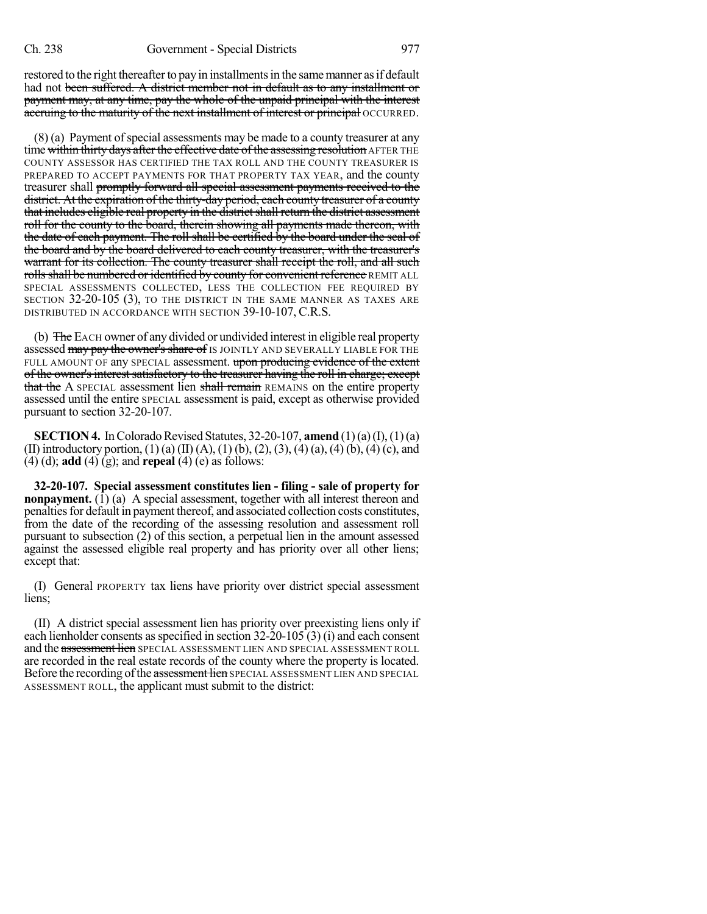restored to the right thereafter to pay in installments in the same manner as if default had not been suffered. A district member not in default as to any installment or payment may, at any time, pay the whole of the unpaid principal with the interest accruing to the maturity of the next installment of interest or principal OCCURRED.

 $(8)$  (a) Payment of special assessments may be made to a county treasurer at any time within thirty days after the effective date of the assessing resolution AFTER THE COUNTY ASSESSOR HAS CERTIFIED THE TAX ROLL AND THE COUNTY TREASURER IS PREPARED TO ACCEPT PAYMENTS FOR THAT PROPERTY TAX YEAR, and the county treasurer shall promptly forward all special assessment payments received to the district. At the expiration of the thirty-day period, each county treasurer of a county that includes eligible real property in the district shall return the district assessment roll for the county to the board, therein showing all payments made thereon, with the date of each payment. The roll shall be certified by the board under the seal of the board and by the board delivered to each county treasurer, with the treasurer's warrant for its collection. The county treasurer shall receipt the roll, and all such rolls shall be numbered or identified by county for convenient reference REMIT ALL SPECIAL ASSESSMENTS COLLECTED, LESS THE COLLECTION FEE REQUIRED BY SECTION 32-20-105 (3), TO THE DISTRICT IN THE SAME MANNER AS TAXES ARE DISTRIBUTED IN ACCORDANCE WITH SECTION 39-10-107, C.R.S.

(b) The EACH owner of any divided or undivided interest in eligible real property assessed may pay the owner's share of IS JOINTLY AND SEVERALLY LIABLE FOR THE FULL AMOUNT OF any SPECIAL assessment. upon producing evidence of the extent of the owner's interest satisfactory to the treasurer having the roll in charge; except that the A SPECIAL assessment lien shall remain REMAINS on the entire property assessed until the entire SPECIAL assessment is paid, except as otherwise provided pursuant to section 32-20-107.

**SECTION 4.** In Colorado Revised Statutes,  $32-20-107$ , **amend**  $(1)(a)(I), (1)(a)$ (II) introductory portion, (1) (a) (II) (A), (1) (b), (2), (3), (4) (a), (4) (b), (4) (c), and (4) (d); **add** (4) (g); and **repeal** (4) (e) as follows:

**32-20-107. Special assessment constitutes lien - filing - sale of property for nonpayment.** (1) (a) A special assessment, together with all interest thereon and penaltiesfor default in payment thereof, and associated collection costs constitutes, from the date of the recording of the assessing resolution and assessment roll pursuant to subsection (2) of this section, a perpetual lien in the amount assessed against the assessed eligible real property and has priority over all other liens; except that:

(I) General PROPERTY tax liens have priority over district special assessment liens;

(II) A district special assessment lien has priority over preexisting liens only if each lienholder consents asspecified in section 32-20-105 (3) (i) and each consent and the assessment lien SPECIAL ASSESSMENT LIEN AND SPECIAL ASSESSMENT ROLL are recorded in the real estate records of the county where the property is located. Before the recording of the assessment lien SPECIAL ASSESSMENT LIEN AND SPECIAL ASSESSMENT ROLL, the applicant must submit to the district: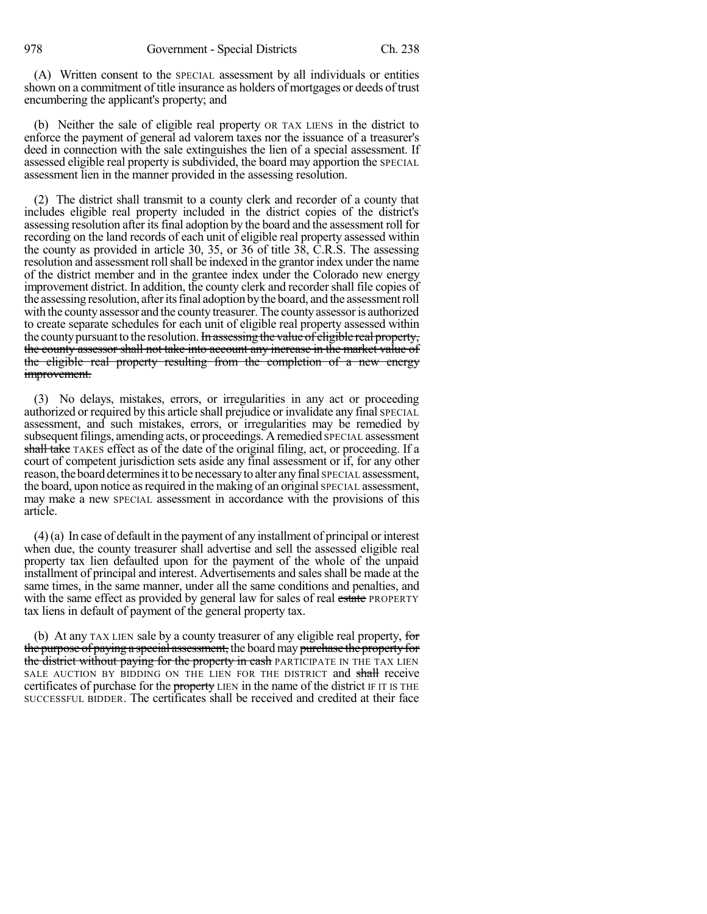(A) Written consent to the SPECIAL assessment by all individuals or entities shown on a commitment of title insurance as holders of mortgages or deeds of trust encumbering the applicant's property; and

(b) Neither the sale of eligible real property OR TAX LIENS in the district to enforce the payment of general ad valorem taxes nor the issuance of a treasurer's deed in connection with the sale extinguishes the lien of a special assessment. If assessed eligible real property is subdivided, the board may apportion the SPECIAL assessment lien in the manner provided in the assessing resolution.

(2) The district shall transmit to a county clerk and recorder of a county that includes eligible real property included in the district copies of the district's assessing resolution after itsfinal adoption by the board and the assessment roll for recording on the land records of each unit of eligible real property assessed within the county as provided in article 30, 35, or 36 of title 38, C.R.S. The assessing resolution and assessment roll shall be indexed in the grantor index under the name of the district member and in the grantee index under the Colorado new energy improvement district. In addition, the county clerk and recorder shall file copies of the assessing resolution, after its final adoption by the board, and the assessment roll with the county assessor and the county treasurer. The county assessor is authorized to create separate schedules for each unit of eligible real property assessed within the county pursuant to the resolution. In assessing the value of eligible real property, the county assessor shall not take into account any increase in the market value of the eligible real property resulting from the completion of a new energy improvement.

(3) No delays, mistakes, errors, or irregularities in any act or proceeding authorized or required by this article shall prejudice or invalidate any final SPECIAL assessment, and such mistakes, errors, or irregularities may be remedied by subsequent filings, amending acts, or proceedings. A remedied SPECIAL assessment shall take TAKES effect as of the date of the original filing, act, or proceeding. If a court of competent jurisdiction sets aside any final assessment or if, for any other reason, the board determines it to be necessary to alter any final SPECIAL assessment, the board, upon notice asrequired in the making of an original SPECIAL assessment, may make a new SPECIAL assessment in accordance with the provisions of this article.

(4)(a) In case of default in the payment of any installment of principal or interest when due, the county treasurer shall advertise and sell the assessed eligible real property tax lien defaulted upon for the payment of the whole of the unpaid installment of principal and interest. Advertisements and sales shall be made at the same times, in the same manner, under all the same conditions and penalties, and with the same effect as provided by general law for sales of real estate PROPERTY tax liens in default of payment of the general property tax.

(b) At any TAX LIEN sale by a county treasurer of any eligible real property, for the purpose of paying a special assessment, the board may purchase the propertyfor the district without paying for the property in eash PARTICIPATE IN THE TAX LIEN SALE AUCTION BY BIDDING ON THE LIEN FOR THE DISTRICT and shall receive certificates of purchase for the property LIEN in the name of the district IF IT IS THE SUCCESSFUL BIDDER. The certificates shall be received and credited at their face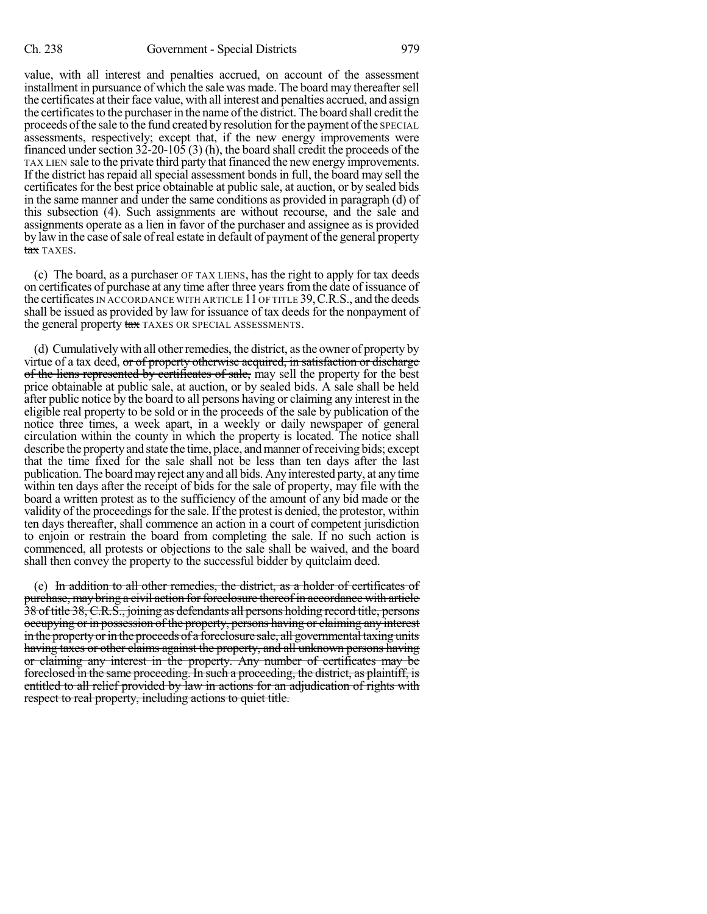value, with all interest and penalties accrued, on account of the assessment installment in pursuance of which the sale was made. The board may thereaftersell the certificates at their face value, with all interest and penalties accrued, and assign the certificates to the purchaser in the name of the district. The board shall credit the proceeds of the sale to the fund created by resolution for the payment of the SPECIAL assessments, respectively; except that, if the new energy improvements were financed under section  $32-20-105$  (3) (h), the board shall credit the proceeds of the TAX LIEN sale to the private third party that financed the newenergy improvements. If the district has repaid all special assessment bonds in full, the board may sell the certificates for the best price obtainable at public sale, at auction, or by sealed bids in the same manner and under the same conditions as provided in paragraph (d) of this subsection (4). Such assignments are without recourse, and the sale and assignments operate as a lien in favor of the purchaser and assignee as is provided by law in the case ofsale ofreal estate in default of payment of the general property tax TAXES.

(c) The board, as a purchaser OF TAX LIENS, has the right to apply for tax deeds on certificates of purchase at any time after three yearsfromthe date of issuance of the certificates IN ACCORDANCE WITH ARTICLE  $11$  OF TITLE 39, C.R.S., and the deeds shall be issued as provided by law for issuance of tax deeds for the nonpayment of the general property tax TAXES OR SPECIAL ASSESSMENTS.

(d) Cumulativelywith all otherremedies, the district, asthe owner of property by virtue of a tax deed, or of property otherwise acquired, in satisfaction or discharge of the liens represented by certificates of sale, may sell the property for the best price obtainable at public sale, at auction, or by sealed bids. A sale shall be held after public notice by the board to all persons having or claiming any interest in the eligible real property to be sold or in the proceeds of the sale by publication of the notice three times, a week apart, in a weekly or daily newspaper of general circulation within the county in which the property is located. The notice shall describe the property and state the time, place, and manner of receiving bids; except that the time fixed for the sale shall not be less than ten days after the last publication. The board may reject any and all bids. Any interested party, at anytime within ten days after the receipt of bids for the sale of property, may file with the board a written protest as to the sufficiency of the amount of any bid made or the validity of the proceedings for the sale. If the protest is denied, the protestor, within ten days thereafter, shall commence an action in a court of competent jurisdiction to enjoin or restrain the board from completing the sale. If no such action is commenced, all protests or objections to the sale shall be waived, and the board shall then convey the property to the successful bidder by quitclaim deed.

(e) In addition to all other remedies, the district, as a holder of certificates of purchase, may bring a civil action for forcelosure thereof in accordance with article 38 of title 38, C.R.S., joining as defendants all persons holding record title, persons occupying or in possession of the property, persons having or claiming any interest in the property or in the proceeds of a foreclosure sale, all governmental taxing units having taxes or other claims against the property, and all unknown persons having or claiming any interest in the property. Any number of certificates may be foreclosed in the same proceeding. In such a proceeding, the district, as plaintiff, is entitled to all relief provided by law in actions for an adjudication of rights with respect to real property, including actions to quiet title.